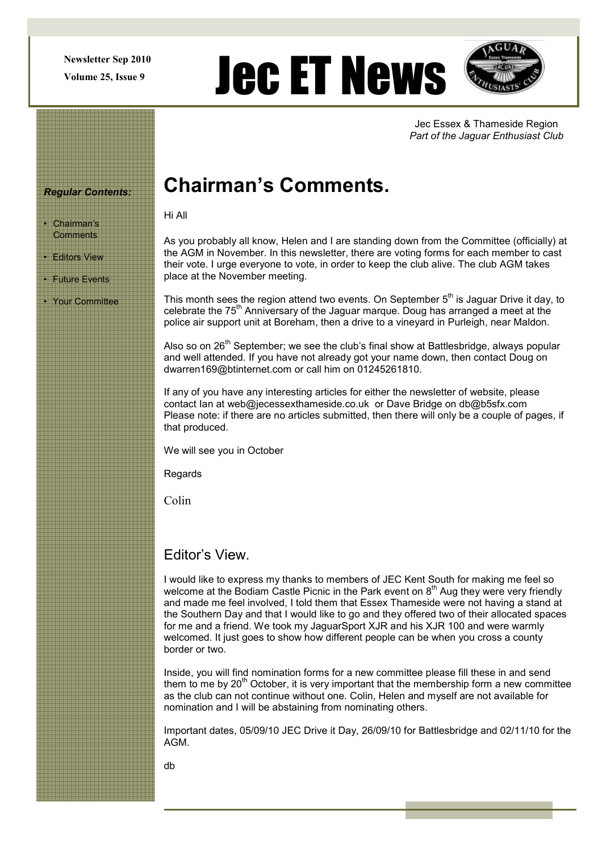Newsletter Sep 2010

# Newsletter Sep 2010  $\bigcup$  ech ET News $\bigcup$



Jec Essex & Thameside Region Part of the Jaguar Enthusiast Club

#### Regular Contents:

• Chairman's **Comments** 

**Editors View** 

• Future Events

• Your Committee

## Chairman's Comments.

Hi All

As you probably all know, Helen and I are standing down from the Committee (officially) at the AGM in November. In this newsletter, there are voting forms for each member to cast their vote. I urge everyone to vote, in order to keep the club alive. The club AGM takes place at the November meeting.

This month sees the region attend two events. On September  $5<sup>th</sup>$  is Jaguar Drive it day, to celebrate the 75<sup>th</sup> Anniversary of the Jaguar marque. Doug has arranged a meet at the police air support unit at Boreham, then a drive to a vineyard in Purleigh, near Maldon.

Also so on 26<sup>th</sup> September; we see the club's final show at Battlesbridge, always popular and well attended. If you have not already got your name down, then contact Doug on dwarren169@btinternet.com or call him on 01245261810.

If any of you have any interesting articles for either the newsletter of website, please contact Ian at web@jecessexthameside.co.uk or Dave Bridge on db@b5sfx.com Please note: if there are no articles submitted, then there will only be a couple of pages, if that produced.

We will see you in October

**Regards** 

Colin

#### Editor's View.

I would like to express my thanks to members of JEC Kent South for making me feel so welcome at the Bodiam Castle Picnic in the Park event on 8<sup>th</sup> Aug they were very friendly and made me feel involved, I told them that Essex Thameside were not having a stand at the Southern Day and that I would like to go and they offered two of their allocated spaces for me and a friend. We took my JaguarSport XJR and his XJR 100 and were warmly welcomed. It just goes to show how different people can be when you cross a county border or two.

Inside, you will find nomination forms for a new committee please fill these in and send them to me by  $20<sup>th</sup>$  October, it is very important that the membership form a new committee as the club can not continue without one. Colin, Helen and myself are not available for nomination and I will be abstaining from nominating others.

Important dates, 05/09/10 JEC Drive it Day, 26/09/10 for Battlesbridge and 02/11/10 for the AGM.

db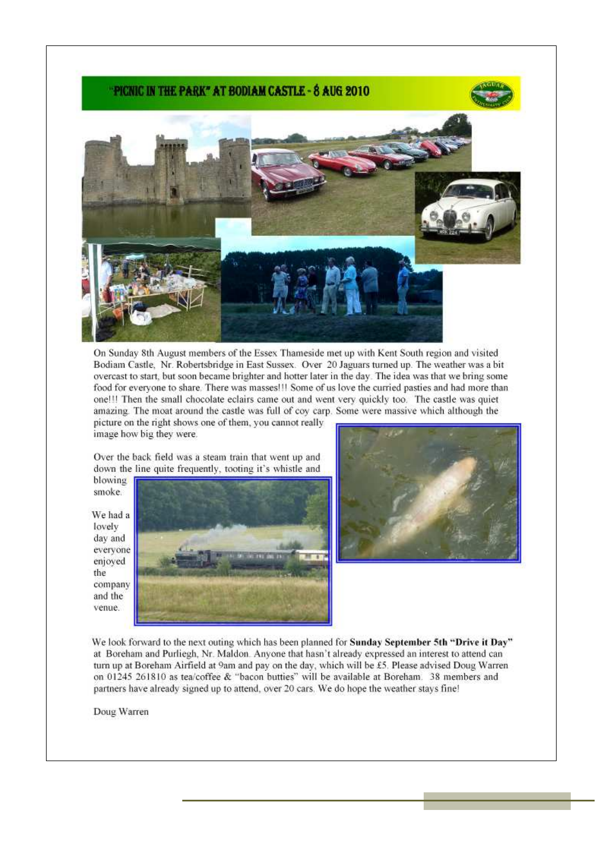#### PICNIC IN THE PARK" AT BODIAM CASTLE - 8 AUG 2010





On Sunday 8th August members of the Essex Thameside met up with Kent South region and visited Bodiam Castle, Nr. Robertsbridge in East Sussex. Over 20 Jaguars turned up. The weather was a bit overcast to start, but soon became brighter and hotter later in the day. The idea was that we bring some food for everyone to share. There was masses!!! Some of us love the curried pasties and had more than one!!! Then the small chocolate eclairs came out and went very quickly too. The castle was quiet amazing. The moat around the castle was full of coy carp. Some were massive which although the picture on the right shows one of them, you cannot really image how big they were.

Over the back field was a steam train that went up and down the line quite frequently, tooting it's whistle and

blowing smoke.

We had a lovely day and everyone enjoved the company and the venue.





We look forward to the next outing which has been planned for Sunday September 5th "Drive it Day" at Boreham and Purliegh, Nr. Maldon. Anyone that hasn't already expressed an interest to attend can turn up at Boreham Airfield at 9am and pay on the day, which will be £5. Please advised Doug Warren on 01245 261810 as tea/coffee & "bacon butties" will be available at Boreham. 38 members and partners have already signed up to attend, over 20 cars. We do hope the weather stays fine!

Doug Warren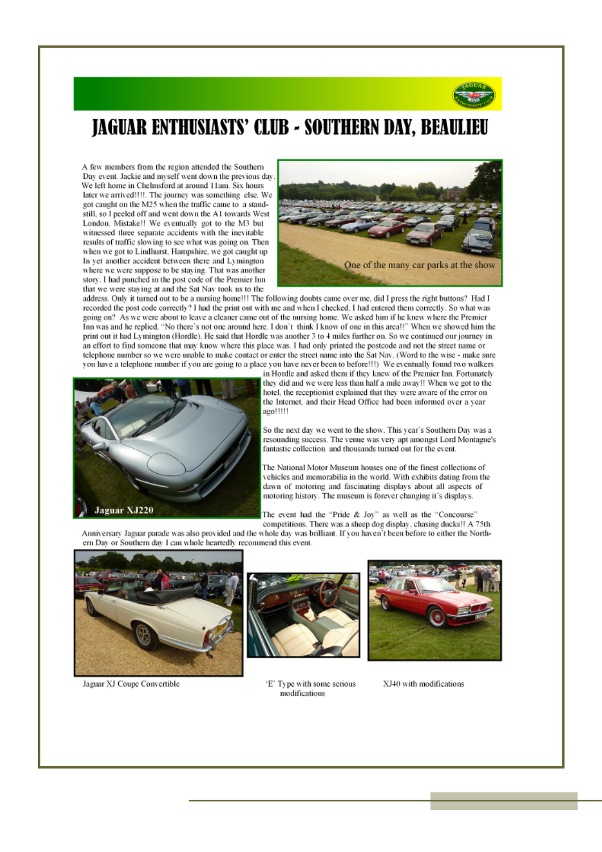

## **JAGUAR ENTHUSIASTS' CLUB - SOUTHERN DAY, BEAULIEU**

A few members from the region attended the Southern Day event. Jackie and myself went down the previous day We left home in Chelmsford at around 11am. Six hours later we arrived!!!!. The journey was something else. We got caught on the M25 when the traffic came to a standstill, so I peeled off and went down the A1 towards West London. Mistake!! We eventually got to the M3 but witnessed three separate accidents with the inevitable results of traffic slowing to see what was going on. Then when we got to Lindhurst, Hampshire, we got caught up In yet another accident between there and Lymington where we were suppose to be staying. That was another story. I had punched in the post code of the Premier Inn that we were staying at and the Sat Nav took us to the



address. Only it turned out to be a nursing home!!! The following doubts came over me, did I press the right buttons? Had I recorded the post code correctly? I had the print out with me and when I checked, I had entered them correctly. So what was going on? As we were about to leave a cleaner came out of the nursing home. We asked him if he knew where the Premier Inn was and he replied, "No there's not one around here. I don't think I know of one in this area!!" When we showed him the print out it had Lymington (Hordle). He said that Hordle was another 3 to 4 miles further on. So we continued our journey in an effort to find someone that may know where this place was. I had only printed the postcode and not the street name or telephone number so we were unable to make contact or enter the street name into the Sat Nav. (Word to the wise - make sure you have a telephone number if you are going to a place you have never been to before!!!) We eventually found two walkers



in Hordle and asked them if they knew of the Premier Inn. Fortunately they did and we were less than half a mile away!! When we got to the hotel, the receptionist explained that they were aware of the error on the Internet, and their Head Office had been informed over a year ago!!!!!

So the next day we went to the show. This year's Southern Day was a resounding success. The venue was very apt amongst Lord Montague's fantastic collection and thousands turned out for the event.

The National Motor Museum houses one of the finest collections of vehicles and memorabilia in the world. With exhibits dating from the dawn of motoring and fascinating displays about all aspects of motoring history. The museum is forever changing it's displays.

The event had the "Pride & Joy" as well as the "Concourse" competitions. There was a sheep dog display, chasing ducks!! A 75th

Anniversary Jaguar parade was also provided and the whole day was brilliant. If you haven't been before to either the Northern Day or Southern day I can whole heartedly recommend this event.



Jaguar XJ Coupe Convertible



'E' Type with some serious modifications



XJ40 with modifications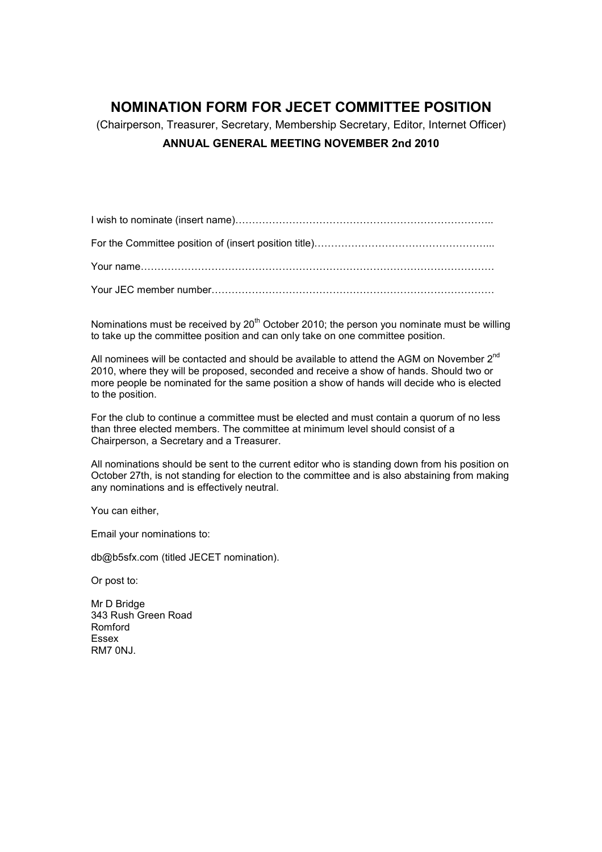### NOMINATION FORM FOR JECET COMMITTEE POSITION

(Chairperson, Treasurer, Secretary, Membership Secretary, Editor, Internet Officer) ANNUAL GENERAL MEETING NOVEMBER 2nd 2010

I wish to nominate (insert name)…………………………………………………………………..

For the Committee position of (insert position title)………………………………………………………………………

Your name……………………………………………………………………………………………

Your JEC member number…………………………………………………………………………

Nominations must be received by  $20<sup>th</sup>$  October 2010; the person you nominate must be willing to take up the committee position and can only take on one committee position.

All nominees will be contacted and should be available to attend the AGM on November  $2^{nd}$ 2010, where they will be proposed, seconded and receive a show of hands. Should two or more people be nominated for the same position a show of hands will decide who is elected to the position.

For the club to continue a committee must be elected and must contain a quorum of no less than three elected members. The committee at minimum level should consist of a Chairperson, a Secretary and a Treasurer.

All nominations should be sent to the current editor who is standing down from his position on October 27th, is not standing for election to the committee and is also abstaining from making any nominations and is effectively neutral.

You can either,

Email your nominations to:

db@b5sfx.com (titled JECET nomination).

Or post to:

Mr D Bridge 343 Rush Green Road Romford Essex RM7 0NJ.